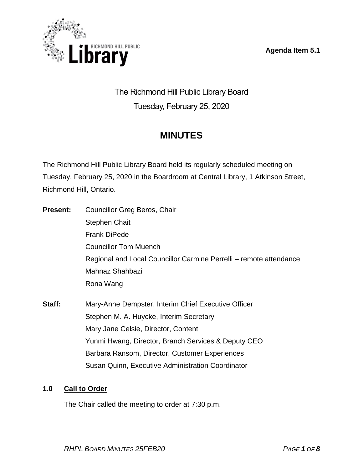**Agenda Item 5.1**



The Richmond Hill Public Library Board Tuesday, February 25, 2020

# **MINUTES**

The Richmond Hill Public Library Board held its regularly scheduled meeting on Tuesday, February 25, 2020 in the Boardroom at Central Library, 1 Atkinson Street, Richmond Hill, Ontario.

- **Present:** Councillor Greg Beros, Chair Stephen Chait Frank DiPede Councillor Tom Muench Regional and Local Councillor Carmine Perrelli – remote attendance Mahnaz Shahbazi Rona Wang
- **Staff:** Mary-Anne Dempster, Interim Chief Executive Officer Stephen M. A. Huycke, Interim Secretary Mary Jane Celsie, Director, Content Yunmi Hwang, Director, Branch Services & Deputy CEO Barbara Ransom, Director, Customer Experiences Susan Quinn, Executive Administration Coordinator

# **1.0 Call to Order**

The Chair called the meeting to order at 7:30 p.m.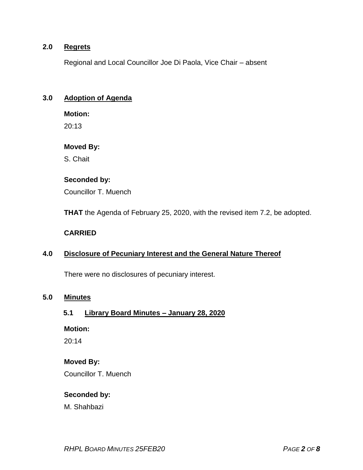#### **2.0 Regrets**

Regional and Local Councillor Joe Di Paola, Vice Chair – absent

#### **3.0 Adoption of Agenda**

**Motion:**

20:13

#### **Moved By:**

S. Chait

#### **Seconded by:**

Councillor T. Muench

**THAT** the Agenda of February 25, 2020, with the revised item 7.2, be adopted.

#### **CARRIED**

#### **4.0 Disclosure of Pecuniary Interest and the General Nature Thereof**

There were no disclosures of pecuniary interest.

#### **5.0 Minutes**

#### **5.1 Library Board Minutes – January 28, 2020**

#### **Motion:**

20:14

#### **Moved By:**

Councillor T. Muench

#### **Seconded by:**

M. Shahbazi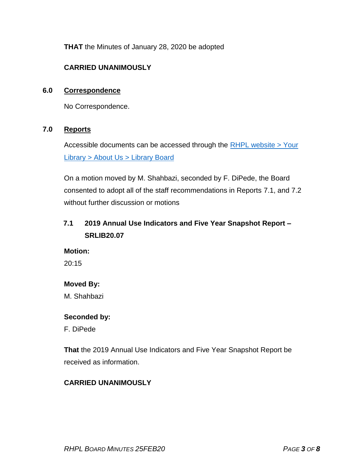**THAT** the Minutes of January 28, 2020 be adopted

#### **CARRIED UNANIMOUSLY**

#### **6.0 Correspondence**

No Correspondence.

#### **7.0 Reports**

Accessible documents can be accessed through the  $RHPL$  website > Your Library [> About Us > Library](https://www.rhpl.ca/your-library/about-us/library-board) Board

On a motion moved by M. Shahbazi, seconded by F. DiPede, the Board consented to adopt all of the staff recommendations in Reports 7.1, and 7.2 without further discussion or motions

# **7.1 2019 Annual Use Indicators and Five Year Snapshot Report – SRLIB20.07**

**Motion:** 

20:15

#### **Moved By:**

M. Shahbazi

#### **Seconded by:**

F. DiPede

**That** the 2019 Annual Use Indicators and Five Year Snapshot Report be received as information.

#### **CARRIED UNANIMOUSLY**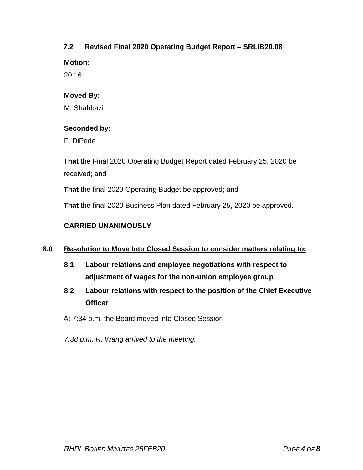#### **7.2 Revised Final 2020 Operating Budget Report – SRLIB20.08**

**Motion:** 

20:16

#### **Moved By:**

M. Shahbazi

#### **Seconded by:**

F. DiPede

**That** the Final 2020 Operating Budget Report dated February 25, 2020 be received; and

**That** the final 2020 Operating Budget be approved; and

**That** the final 2020 Business Plan dated February 25, 2020 be approved.

#### **CARRIED UNANIMOUSLY**

#### **8.0 Resolution to Move Into Closed Session to consider matters relating to:**

- **8.1 Labour relations and employee negotiations with respect to adjustment of wages for the non-union employee group**
- **8.2 Labour relations with respect to the position of the Chief Executive Officer**

At 7:34 p.m. the Board moved into Closed Session

*7:38 p.m. R. Wang arrived to the meeting.*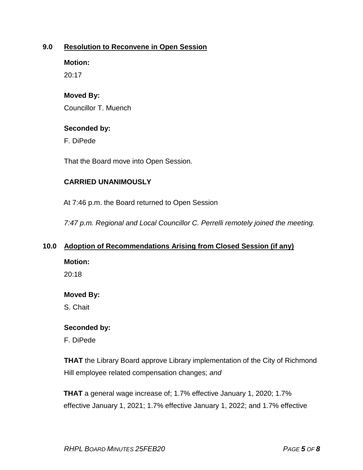#### **9.0 Resolution to Reconvene in Open Session**

**Motion:** 

20:17

#### **Moved By:**

Councillor T. Muench

#### **Seconded by:**

F. DiPede

That the Board move into Open Session.

#### **CARRIED UNANIMOUSLY**

At 7:46 p.m. the Board returned to Open Session

*7:47 p.m. Regional and Local Councillor C. Perrelli remotely joined the meeting.*

#### **10.0 Adoption of Recommendations Arising from Closed Session (if any)**

**Motion:** 

20:18

#### **Moved By:**

S. Chait

#### **Seconded by:**

F. DiPede

**THAT** the Library Board approve Library implementation of the City of Richmond Hill employee related compensation changes; *and*

**THAT** a general wage increase of; 1.7% effective January 1, 2020; 1.7% effective January 1, 2021; 1.7% effective January 1, 2022; and 1.7% effective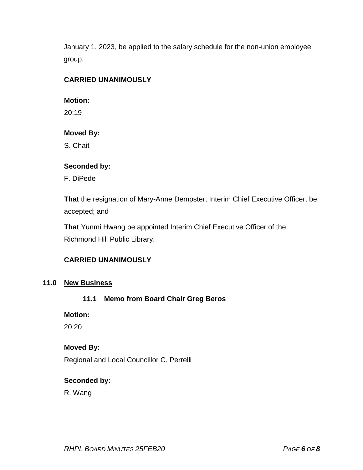January 1, 2023, be applied to the salary schedule for the non-union employee group.

### **CARRIED UNANIMOUSLY**

#### **Motion:**

20:19

#### **Moved By:**

S. Chait

#### **Seconded by:**

F. DiPede

**That** the resignation of Mary-Anne Dempster, Interim Chief Executive Officer, be accepted; and

**That** Yunmi Hwang be appointed Interim Chief Executive Officer of the Richmond Hill Public Library.

# **CARRIED UNANIMOUSLY**

#### **11.0 New Business**

# **11.1 Memo from Board Chair Greg Beros**

**Motion:** 

20:20

#### **Moved By:**

Regional and Local Councillor C. Perrelli

#### **Seconded by:**

R. Wang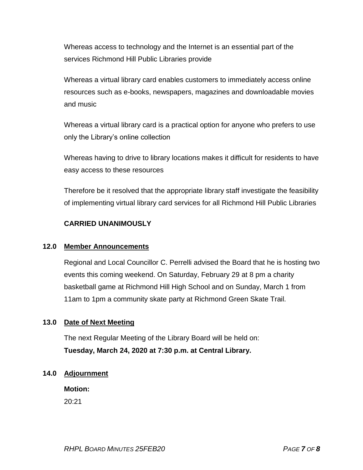Whereas access to technology and the Internet is an essential part of the services Richmond Hill Public Libraries provide

Whereas a virtual library card enables customers to immediately access online resources such as e-books, newspapers, magazines and downloadable movies and music

Whereas a virtual library card is a practical option for anyone who prefers to use only the Library's online collection

Whereas having to drive to library locations makes it difficult for residents to have easy access to these resources

Therefore be it resolved that the appropriate library staff investigate the feasibility of implementing virtual library card services for all Richmond Hill Public Libraries

#### **CARRIED UNANIMOUSLY**

#### **12.0 Member Announcements**

Regional and Local Councillor C. Perrelli advised the Board that he is hosting two events this coming weekend. On Saturday, February 29 at 8 pm a charity basketball game at Richmond Hill High School and on Sunday, March 1 from 11am to 1pm a community skate party at Richmond Green Skate Trail.

#### **13.0 Date of Next Meeting**

The next Regular Meeting of the Library Board will be held on: **Tuesday, March 24, 2020 at 7:30 p.m. at Central Library.**

#### **14.0 Adjournment**

**Motion:** 20:21